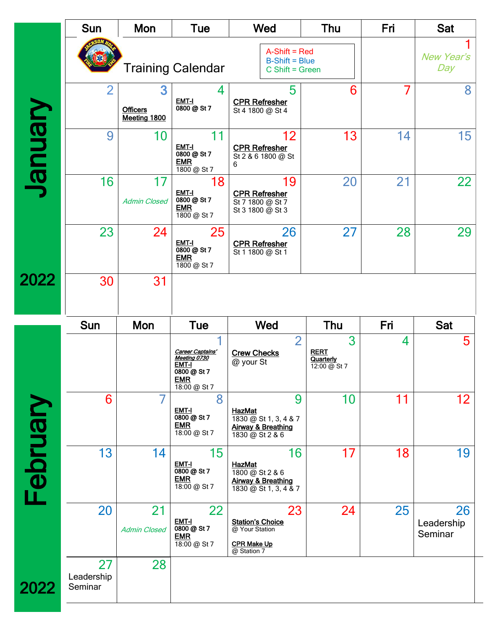|          | <b>Sun</b>                  | Mon                                  | Tue                                                                                           | Wed                                                                                       | Thu                                           | Fri | <b>Sat</b>                  |
|----------|-----------------------------|--------------------------------------|-----------------------------------------------------------------------------------------------|-------------------------------------------------------------------------------------------|-----------------------------------------------|-----|-----------------------------|
|          |                             |                                      | <b>Training Calendar</b>                                                                      | $A-Shift = Red$<br>$B$ -Shift = Blue<br>$C$ Shift = Green                                 |                                               |     | <b>New Year's</b><br>Day    |
|          | $\overline{2}$              | 3<br><b>Officers</b><br>Meeting 1800 | 4<br><b>EMT-I</b><br>0800 @ St 7                                                              | 5<br><b>CPR Refresher</b><br>St 4 1800 @ St 4                                             | 6                                             | 7   | 8                           |
| Vienuel  | 9                           | 10                                   | 11<br>EMT-I<br>0800 @ St 7<br><b>EMR</b><br>$\overline{1800}$ @ St 7                          | 12<br><b>CPR Refresher</b><br>St 2 & 6 1800 @ St<br>6                                     | 13                                            | 14  | 15                          |
|          | 16                          | 17<br><b>Admin Closed</b>            | 18<br>EMT-I<br>0800 @ St 7<br><b>EMR</b><br>$1800 \text{ @ }$ St 7                            | 19<br><b>CPR Refresher</b><br>St 7 1800 @ St 7<br>St 3 1800 @ St 3                        | 20                                            | 21  | 22                          |
|          | 23                          | 24                                   | 25<br>EMT-I<br>0800 @ St 7<br><b>EMR</b><br>1800 @ St 7                                       | 26<br><b>CPR Refresher</b><br>St 1 1800 @ St 1                                            | 27                                            | 28  | 29                          |
| 2022     | 30                          | 31                                   |                                                                                               |                                                                                           |                                               |     |                             |
|          | Sun                         | Mon                                  | <b>Tue</b>                                                                                    | Wed                                                                                       | <b>Thu</b>                                    | Fri | <b>Sat</b>                  |
|          |                             |                                      | Career Captains'<br>Meeting 0730<br><b>EMT-I</b><br>0800 @ St 7<br><b>EMR</b><br>18:00 @ St 7 | $\overline{2}$<br><b>Crew Checks</b><br>@ your St                                         | 3<br><b>RERT</b><br>Quarterly<br>12:00 @ St 7 | 4   | 5                           |
|          | 6                           | $\overline{ }$                       | 8<br>EMT-I<br>0800 @ St 7<br><b>EMR</b><br>18:00 @ St 7                                       | 9<br>HazMat<br>1830 @ St 1, 3, 4 & 7<br>Airway & Breathing<br>1830 @ St 2 & 6             | 10                                            | 11  | 12                          |
| February | 13                          | 14                                   | 15<br>EMT-I<br>0800 @ St 7<br><b>EMR</b><br>18:00 @ St 7                                      | 16<br>HazMat<br>1800 @ St 2 & 6<br><b>Airway &amp; Breathing</b><br>1830 @ St 1, 3, 4 & 7 | 17                                            | 18  | 19                          |
|          | 20                          | 21<br><b>Admin Closed</b>            | 22<br>EMT-I<br>0800 @ St 7<br><b>EMR</b><br>18:00 @ St 7                                      | 23<br><b>Station's Choice</b><br>@ Your Station<br><b>CPR Make Up</b><br>@ Station 7      | 24                                            | 25  | 26<br>Leadership<br>Seminar |
| 2022     | 27<br>Leadership<br>Seminar | 28                                   |                                                                                               |                                                                                           |                                               |     |                             |
|          |                             |                                      |                                                                                               |                                                                                           |                                               |     |                             |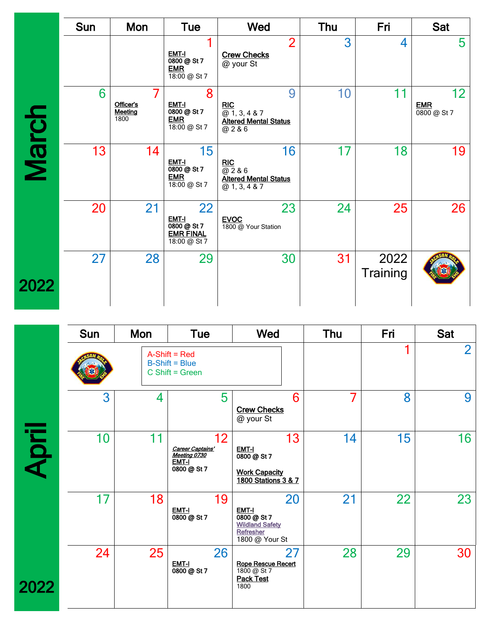|              | <b>Sun</b> | Mon                          | <b>Tue</b>                                                                        | Wed                                                                                | Thu            |    | Fri              | <b>Sat</b>                      |
|--------------|------------|------------------------------|-----------------------------------------------------------------------------------|------------------------------------------------------------------------------------|----------------|----|------------------|---------------------------------|
|              |            |                              | EMT-I<br>0800 @ St 7<br><b>EMR</b><br>$18:00 \text{ } @$ St 7                     | <b>Crew Checks</b><br>@ your St                                                    | $\overline{2}$ | 3  | 4                | 5                               |
| <b>March</b> | 6          | Officer's<br>Meeting<br>1800 | 8<br>EMT-I<br>0800 @ St 7<br><b>EMR</b><br>$18:00 \text{ } \textcircled{a}$ St 7  | RIC<br>@1, 3, 4 & 7<br><b>Altered Mental Status</b><br>$\overline{6286}$           | 9              | 10 | 11               | 12<br><b>EMR</b><br>0800 @ St 7 |
|              | 13         | 14                           | 15<br>EMT-I<br>0800 @ St 7<br><b>EMR</b><br>$18:00 \text{ } \textcircled{a}$ St 7 | <b>RIC</b><br>$\overline{w}$ 2 & 6<br><b>Altered Mental Status</b><br>@1, 3, 4 & 7 | 16             | 17 | 18               | 19                              |
|              | 20         | 21                           | 22<br>EMT-I<br>0800 @ St 7<br><b>EMR FINAL</b><br>18:00 @ St 7                    | <b>EVOC</b><br>1800 @ Your Station                                                 | 23             | 24 | 25               | 26                              |
| 2022         | 27         | 28                           | 29                                                                                |                                                                                    | 30             | 31 | 2022<br>Training |                                 |
|              | Sun        | Mon                          | Tue                                                                               | Wed                                                                                | Thu            |    | Fri              | <b>Sat</b>                      |
|              |            |                              | $A-Shift = Red$<br><b>DOUG DI</b>                                                 |                                                                                    |                |    |                  | $\overline{2}$                  |

|       | <b>Sun</b> | Mon | Tue                                                                         | Wed                                                                                     | Thu | Fri | Sat            |
|-------|------------|-----|-----------------------------------------------------------------------------|-----------------------------------------------------------------------------------------|-----|-----|----------------|
|       |            |     | $A-Shift = Red$<br>$B$ -Shift = Blue<br>$C$ Shift = Green                   |                                                                                         |     |     | $\overline{2}$ |
|       | 3          | 4   | 5                                                                           | 6<br><b>Crew Checks</b><br>@ your St                                                    | 7   | 8   | 9              |
| April | 10         | 11  | 12 <sup>2</sup><br>Career Captains'<br>Meeting 0730<br>EMT-I<br>0800 @ St 7 | 13<br>EMT-I<br>0800 @ St 7<br><b>Work Capacity</b><br>1800 Stations 3 & 7               | 14  | 15  | 16             |
|       | 17         | 18  | 19<br>EMT-I<br>0800 @ St 7                                                  | 20<br>EMT-I<br>$0800 (2)$ St 7<br><b>Wildland Safety</b><br>Refresher<br>1800 @ Your St | 21  | 22  | 23             |
| 2022  | 24         | 25  | 26<br>EMT-I<br>0800 @ St 7                                                  | 27<br><b>Rope Rescue Recert</b><br>1800 @ St 7<br><b>Pack Test</b><br>1800              | 28  | 29  | 30             |
|       |            |     |                                                                             |                                                                                         |     |     |                |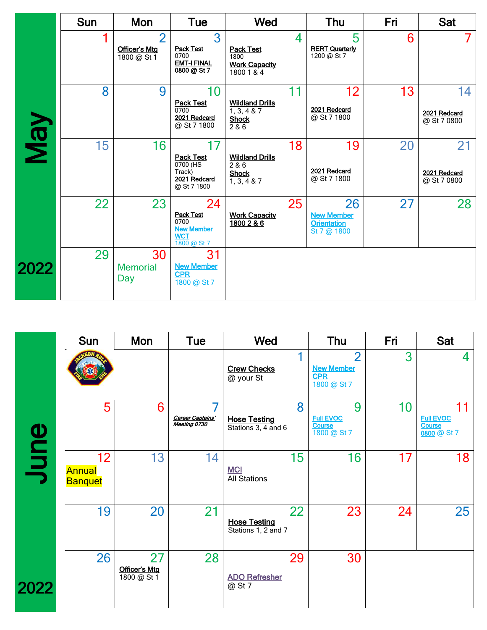|      | <b>Sun</b> | Mon                                                   | <b>Tue</b>                                                                       | Wed                                                             |    | Thu                                                          | Fri | Sat                               |
|------|------------|-------------------------------------------------------|----------------------------------------------------------------------------------|-----------------------------------------------------------------|----|--------------------------------------------------------------|-----|-----------------------------------|
|      |            | $\overline{2}$<br><b>Officer's Mtg</b><br>1800 @ St 1 | 3<br><b>Pack Test</b><br>0700<br><b>EMT-I FINAL</b><br>0800 @ St 7               | <b>Pack Test</b><br>1800<br><b>Work Capacity</b><br>1800 1 & 4  | 4  | 5<br><b>RERT Quarterly</b><br>1200 @ St 7                    | 6   | $\mathbf{7}$                      |
|      | 8          | 9                                                     | 10<br><b>Pack Test</b><br>0700<br>2021 Redcard<br>@ St 7 1800                    | <b>Wildland Drills</b><br>1, 3, 4 & 87<br><b>Shock</b><br>2 & 6 | 11 | 12<br>2021 Redcard<br>@ St 7 1800                            | 13  | 14<br>2021 Redcard<br>@ St 7 0800 |
| VeN  | 15         | 16                                                    | 17<br><b>Pack Test</b><br>0700 (HS<br>Track)<br>2021 Redcard<br>@ St 7 1800      | <b>Wildland Drills</b><br>2&6<br><b>Shock</b><br>1, 3, 4 & 87   | 18 | 19<br>2021 Redcard<br>@ St 7 1800                            | 20  | 21<br>2021 Redcard<br>@ St 7 0800 |
|      | 22         | 23                                                    | 24<br><b>Pack Test</b><br>0700<br><b>New Member</b><br><b>WCT</b><br>1800 @ St 7 | <b>Work Capacity</b><br>1800 2 & 6                              | 25 | 26<br><b>New Member</b><br><b>Orientation</b><br>St 7 @ 1800 | 27  | 28                                |
| 2022 | 29         | 30<br><b>Memorial</b><br>Day                          | 31<br><b>New Member</b><br><b>CPR</b><br>1800 @ St 7                             |                                                                 |    |                                                              |     |                                   |
|      |            |                                                       |                                                                                  |                                                                 |    |                                                              |     |                                   |

|      | <b>Sun</b>                            | Mon                                       | <b>Tue</b>                       | <b>Wed</b>                                       |            | Thu                                                   | Fri | <b>Sat</b>                                             |
|------|---------------------------------------|-------------------------------------------|----------------------------------|--------------------------------------------------|------------|-------------------------------------------------------|-----|--------------------------------------------------------|
|      |                                       |                                           |                                  | <b>Crew Checks</b><br>@ your St                  | <b>CPR</b> | $\mathcal{P}$<br><b>New Member</b><br>1800 @ St 7     | 3   | 4                                                      |
|      | 5                                     | 6                                         | Career Captains'<br>Meeting 0730 | <b>Hose Testing</b><br>Stations 3, 4 and 6       | 8          | 9<br><b>Full EVOC</b><br><b>Course</b><br>1800 @ St 7 | 10  | 11<br><b>Full EVOC</b><br><b>Course</b><br>0800 @ St 7 |
| June | 12<br><b>Annual</b><br><b>Banquet</b> | 13                                        | 14                               | 15<br><b>MCI</b><br><b>All Stations</b>          |            | 16                                                    | 17  | 18                                                     |
|      | 19                                    | 20                                        | 21                               | 22<br><b>Hose Testing</b><br>Stations 1, 2 and 7 |            | 23                                                    | 24  | 25                                                     |
| 022  | 26                                    | 27<br><b>Officer's Mtg</b><br>1800 @ St 1 | 28                               | 29<br><b>ADO Refresher</b><br>@ St 7             |            | 30                                                    |     |                                                        |

 $\overline{2}$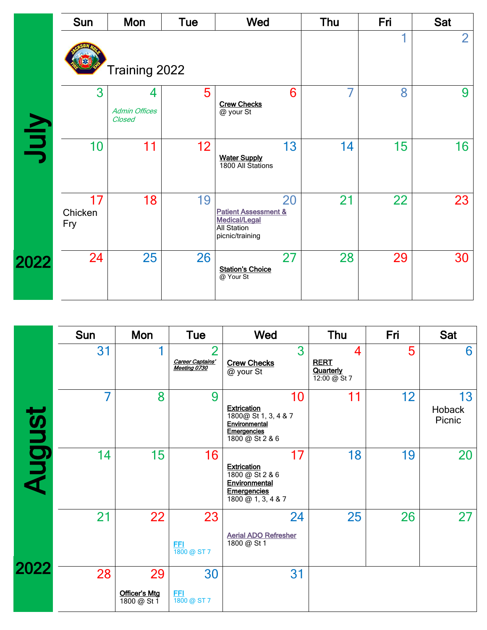|      | Sun                  | Mon                                 | <b>Tue</b> | Wed                                                                                                    | Thu | Fri | <b>Sat</b>     |
|------|----------------------|-------------------------------------|------------|--------------------------------------------------------------------------------------------------------|-----|-----|----------------|
|      |                      | Training 2022                       |            |                                                                                                        |     |     | $\overline{2}$ |
| VInf | 3                    | 4<br><b>Admin Offices</b><br>Closed | 5          | 6<br><b>Crew Checks</b><br>@ your St                                                                   | 7   | 8   | 9              |
|      | 10                   | 11                                  | 12         | 13<br>Water Supply<br>1800 All Stations                                                                | 14  | 15  | 16             |
|      | 17<br>Chicken<br>Fry | 18                                  | 19         | 20<br><b>Patient Assessment &amp;</b><br><b>Medical/Legal</b><br><b>All Station</b><br>picnic/training | 21  | 22  | 23             |
| 2022 | 24                   | 25                                  | 26         | 27<br><b>Station's Choice</b><br>@ Your St                                                             | 28  | 29  | 30             |

|        | Sun | Mon                                | Tue                                                | Wed                                                                                                                             | Thu                                           | Fri | <b>Sat</b>             |
|--------|-----|------------------------------------|----------------------------------------------------|---------------------------------------------------------------------------------------------------------------------------------|-----------------------------------------------|-----|------------------------|
|        | 31  |                                    | $\overline{2}$<br>Career Captains'<br>Meeting 0730 | 3<br><b>Crew Checks</b><br>@ your St                                                                                            | 4<br><b>RERT</b><br>Quarterly<br>12:00 @ St 7 | 5   | 6                      |
|        | 7   | 8                                  | 9                                                  | 10<br><b>Extrication</b><br>1800@ St 1, 3, 4 & 7<br>Environmental<br>Emergencies<br>1800 @ St 2 & 6                             | 11                                            | 12  | 13<br>Hoback<br>Picnic |
| August | 14  | 15                                 | 16                                                 | 17<br><b>Extrication</b><br>1800 @ St 2 & 6<br>Environmental<br><b>Emergencies</b><br>$\overline{1800 \text{ @ } 1, 3, 4 & } 3$ | 18                                            | 19  | 20                     |
|        | 21  | 22                                 | 23<br><u>FFI</u><br>1800 @ ST 7                    | 24<br><b>Aerial ADO Refresher</b><br>1800 @ St 1                                                                                | 25                                            | 26  | 27                     |
| 2022   | 28  | 29<br>Officer's Mtg<br>1800 @ St 1 | 30<br><u>FFI</u><br>1800 @ ST 7                    | 31                                                                                                                              |                                               |     |                        |
|        |     |                                    |                                                    |                                                                                                                                 |                                               |     |                        |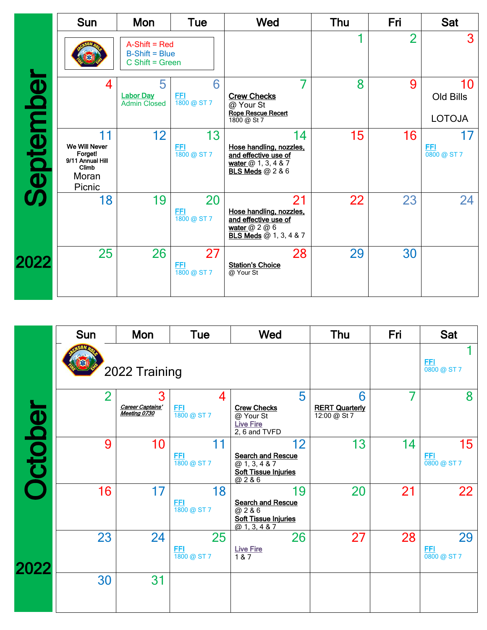|           | <b>Sun</b>                                                                     | Mon                                                      | Tue                             | Wed                                                                                                         | Thu | Fri            | <b>Sat</b>                       |
|-----------|--------------------------------------------------------------------------------|----------------------------------------------------------|---------------------------------|-------------------------------------------------------------------------------------------------------------|-----|----------------|----------------------------------|
|           |                                                                                | $A-Shift = Red$<br>$B-Shift = Blue$<br>$C$ Shift = Green |                                 |                                                                                                             |     | $\overline{2}$ | 3                                |
|           | 4                                                                              | 5<br><b>Labor Day</b><br><b>Admin Closed</b>             | 6<br><u>FFI</u><br>1800 @ ST 7  | <b>Crew Checks</b><br>@ Your St<br>Rope Rescue Recert<br>1800 @ St 7                                        | 8   | 9              | 10<br>Old Bills<br><b>LOTOJA</b> |
| September | 11<br>We Will Never<br>Forget!<br>9/11 Annual Hill<br>Climb<br>Moran<br>Picnic | 12                                                       | 13<br><u>FFI</u><br>1800 @ ST 7 | 14<br>Hose handling, nozzles,<br>and effective use of<br>water $@1, 3, 4 & 7$<br><b>BLS Meds</b> @ 2 & 6    | 15  | 16             | 17<br><b>EEI</b><br>0800 @ ST 7  |
|           | 18                                                                             | 19                                                       | 20<br><u>FFI</u><br>1800 @ ST 7 | 21<br>Hose handling, nozzles,<br>and effective use of<br>water $@$ 2 $@$ 6<br><b>BLS Meds</b> @ 1, 3, 4 & 7 | 22  | 23             | 24                               |
| 2022      | 25                                                                             | 26                                                       | 27<br><b>FFI</b><br>1800 @ ST 7 | 28<br><b>Station's Choice</b><br>@ Your St                                                                  | 29  | 30             |                                  |
|           |                                                                                |                                                          |                                 |                                                                                                             |     |                |                                  |

|                | <b>Sun</b>     | Mon                                   | <b>Tue</b>                           | Wed                                                                                                         | Thu                                        | Fri | Sat                                    |
|----------------|----------------|---------------------------------------|--------------------------------------|-------------------------------------------------------------------------------------------------------------|--------------------------------------------|-----|----------------------------------------|
|                |                | 2022 Training                         |                                      |                                                                                                             |                                            |     | <b>FFI</b><br>$\overline{0800}$ @ ST 7 |
|                | $\overline{2}$ | 3<br>Career Captains'<br>Meeting 0730 | 4<br><u>FFI</u><br>1800 @ ST 7       | 5<br><b>Crew Checks</b><br>@ Your St<br><b>Live Fire</b><br>2, 6 and TVFD                                   | 6<br><b>RERT Quarterly</b><br>12:00 @ St 7 | 7   | 8                                      |
| <b>Dctober</b> | 9              | 10                                    | 11<br><b>FFI</b><br>1800 @ ST 7      | 12<br><b>Search and Rescue</b><br>$\overline{(2, 1, 3, 4, 8, 7)}$<br><b>Soft Tissue Injuries</b><br>@ 2 & 6 | 13                                         | 14  | 15<br><b>FFI</b><br>0800 @ ST 7        |
|                | 16             | 17                                    | 18<br><u>FFI</u><br>1800 @ ST 7      | 19<br><b>Search and Rescue</b><br>$\overline{6286}$<br><b>Soft Tissue Injuries</b><br>@1, 3, 4 & 7          | 20                                         | 21  | 22                                     |
| 2022           | 23             | 24                                    | 25<br>FFI<br>$\frac{1}{1800}$ @ ST 7 | 26<br><b>Live Fire</b><br>1 & 7                                                                             | 27                                         | 28  | 29<br><b>FFI</b><br>0800 @ ST 7        |
|                | 30             | 31                                    |                                      |                                                                                                             |                                            |     |                                        |
|                |                |                                       |                                      |                                                                                                             |                                            |     |                                        |